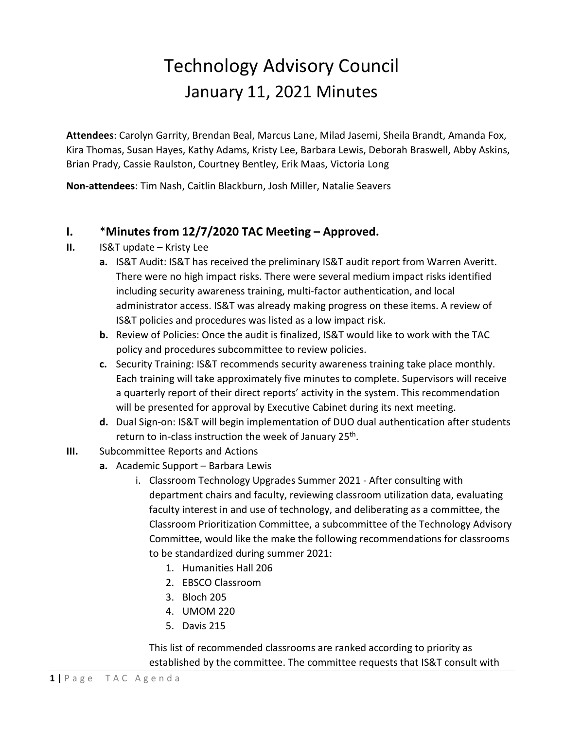## Technology Advisory Council January 11, 2021 Minutes

**Attendees**: Carolyn Garrity, Brendan Beal, Marcus Lane, Milad Jasemi, Sheila Brandt, Amanda Fox, Kira Thomas, Susan Hayes, Kathy Adams, Kristy Lee, Barbara Lewis, Deborah Braswell, Abby Askins, Brian Prady, Cassie Raulston, Courtney Bentley, Erik Maas, Victoria Long

**Non-attendees**: Tim Nash, Caitlin Blackburn, Josh Miller, Natalie Seavers

## **I.** \***Minutes from 12/7/2020 TAC Meeting – Approved.**

- **II.** IS&T update Kristy Lee
	- **a.** IS&T Audit: IS&T has received the preliminary IS&T audit report from Warren Averitt. There were no high impact risks. There were several medium impact risks identified including security awareness training, multi-factor authentication, and local administrator access. IS&T was already making progress on these items. A review of IS&T policies and procedures was listed as a low impact risk.
	- **b.** Review of Policies: Once the audit is finalized, IS&T would like to work with the TAC policy and procedures subcommittee to review policies.
	- **c.** Security Training: IS&T recommends security awareness training take place monthly. Each training will take approximately five minutes to complete. Supervisors will receive a quarterly report of their direct reports' activity in the system. This recommendation will be presented for approval by Executive Cabinet during its next meeting.
	- **d.** Dual Sign-on: IS&T will begin implementation of DUO dual authentication after students return to in-class instruction the week of January 25<sup>th</sup>.
- **III.** Subcommittee Reports and Actions
	- **a.** Academic Support Barbara Lewis
		- i. Classroom Technology Upgrades Summer 2021 After consulting with department chairs and faculty, reviewing classroom utilization data, evaluating faculty interest in and use of technology, and deliberating as a committee, the Classroom Prioritization Committee, a subcommittee of the Technology Advisory Committee, would like the make the following recommendations for classrooms to be standardized during summer 2021:
			- 1. Humanities Hall 206
			- 2. EBSCO Classroom
			- 3. Bloch 205
			- 4. UMOM 220
			- 5. Davis 215

This list of recommended classrooms are ranked according to priority as established by the committee. The committee requests that IS&T consult with